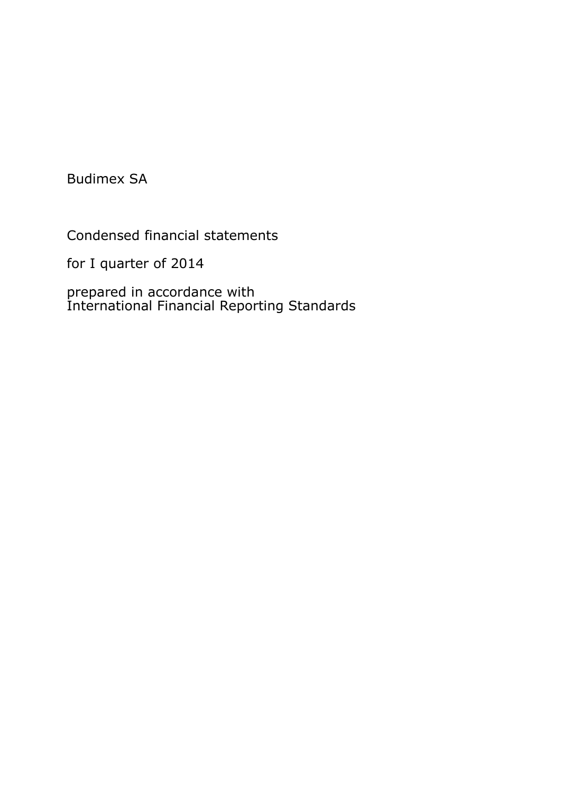Budimex SA

Condensed financial statements

for I quarter of 2014

prepared in accordance with International Financial Reporting Standards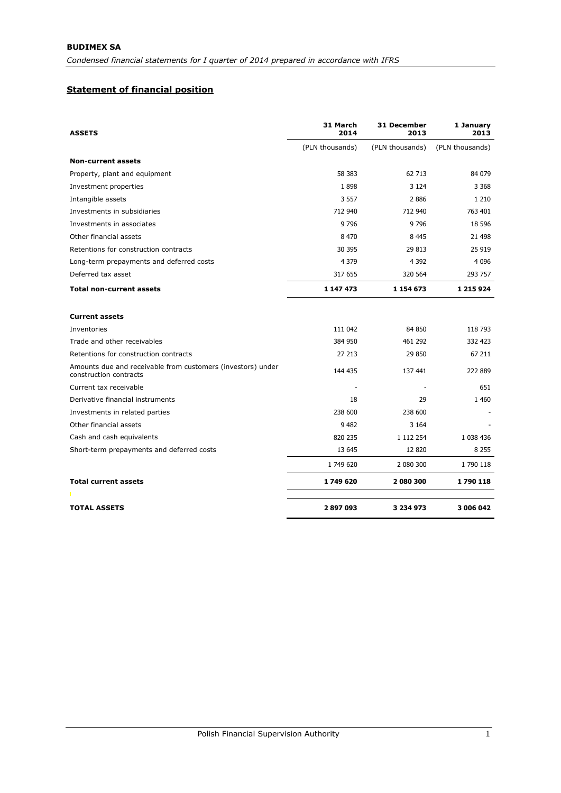# **Statement of financial position**

| <b>ASSETS</b>                                                                         | 31 March<br>2014 | <b>31 December</b><br>2013 | 1 January<br>2013 |
|---------------------------------------------------------------------------------------|------------------|----------------------------|-------------------|
|                                                                                       | (PLN thousands)  | (PLN thousands)            | (PLN thousands)   |
| <b>Non-current assets</b>                                                             |                  |                            |                   |
| Property, plant and equipment                                                         | 58 383           | 62 713                     | 84 079            |
| Investment properties                                                                 | 1898             | 3 1 2 4                    | 3 3 6 8           |
| Intangible assets                                                                     | 3 5 5 7          | 2886                       | 1 2 1 0           |
| Investments in subsidiaries                                                           | 712 940          | 712 940                    | 763 401           |
| Investments in associates                                                             | 9 7 9 6          | 9796                       | 18 5 96           |
| Other financial assets                                                                | 8 4 7 0          | 8 4 4 5                    | 21 498            |
| Retentions for construction contracts                                                 | 30 395           | 29 813                     | 25 919            |
| Long-term prepayments and deferred costs                                              | 4 3 7 9          | 4 3 9 2                    | 4 0 9 6           |
| Deferred tax asset                                                                    | 317 655          | 320 564                    | 293 757           |
| <b>Total non-current assets</b>                                                       | 1 147 473        | 1 154 673                  | 1 215 9 24        |
| <b>Current assets</b>                                                                 |                  |                            |                   |
| Inventories                                                                           | 111 042          | 84 850                     | 118 793           |
| Trade and other receivables                                                           | 384 950          | 461 292                    | 332 423           |
| Retentions for construction contracts                                                 | 27 213           | 29 850                     | 67 211            |
| Amounts due and receivable from customers (investors) under<br>construction contracts | 144 435          | 137 441                    | 222 889           |
| Current tax receivable                                                                |                  | ÷                          | 651               |
| Derivative financial instruments                                                      | 18               | 29                         | 1 4 6 0           |
| Investments in related parties                                                        | 238 600          | 238 600                    |                   |
| Other financial assets                                                                | 9 4 8 2          | 3 1 6 4                    |                   |
| Cash and cash equivalents                                                             | 820 235          | 1 112 254                  | 1 038 436         |
| Short-term prepayments and deferred costs                                             | 13 645           | 12 8 20                    | 8 2 5 5           |
|                                                                                       | 1 749 620        | 2 080 300                  | 1 790 118         |
| <b>Total current assets</b>                                                           | 1749620          | 2 080 300                  | 1790118           |
|                                                                                       |                  |                            |                   |
| <b>TOTAL ASSETS</b>                                                                   | 2897093          | 3 234 973                  | 3 006 042         |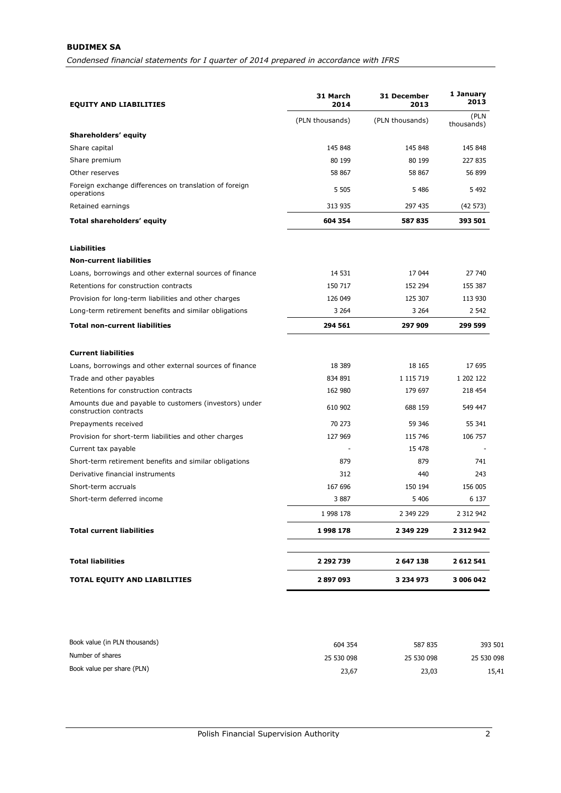| <b>EQUITY AND LIABILITIES</b>                                                    | 31 March<br>2014 | 31 December<br>2013 | 1 January<br>2013  |
|----------------------------------------------------------------------------------|------------------|---------------------|--------------------|
|                                                                                  | (PLN thousands)  | (PLN thousands)     | (PLN<br>thousands) |
| Shareholders' equity                                                             |                  |                     |                    |
| Share capital                                                                    | 145 848          | 145 848             | 145 848            |
| Share premium                                                                    | 80 199           | 80 199              | 227 835            |
| Other reserves                                                                   | 58 867           | 58 867              | 56 899             |
| Foreign exchange differences on translation of foreign<br>operations             | 5 5 0 5          | 5486                | 5 4 9 2            |
| Retained earnings                                                                | 313 935          | 297 435             | (42573)            |
| Total shareholders' equity                                                       | 604 354          | 587 835             | 393 501            |
| <b>Liabilities</b>                                                               |                  |                     |                    |
| <b>Non-current liabilities</b>                                                   |                  |                     |                    |
| Loans, borrowings and other external sources of finance                          | 14 531           | 17 044              | 27 740             |
| Retentions for construction contracts                                            | 150 717          | 152 294             | 155 387            |
| Provision for long-term liabilities and other charges                            | 126 049          | 125 307             | 113 930            |
| Long-term retirement benefits and similar obligations                            | 3 2 6 4          | 3 2 6 4             | 2 5 4 2            |
| <b>Total non-current liabilities</b>                                             | 294 561          | 297 909             | 299 599            |
| <b>Current liabilities</b>                                                       |                  |                     |                    |
| Loans, borrowings and other external sources of finance                          | 18 3 89          | 18 165              | 17 695             |
| Trade and other payables                                                         | 834 891          | 1 115 719           | 1 202 122          |
| Retentions for construction contracts                                            | 162 980          | 179 697             | 218 454            |
| Amounts due and payable to customers (investors) under<br>construction contracts | 610 902          | 688 159             | 549 447            |
| Prepayments received                                                             | 70 273           | 59 346              | 55 341             |
| Provision for short-term liabilities and other charges                           | 127 969          | 115 746             | 106 757            |
| Current tax payable                                                              |                  | 15 478              |                    |
| Short-term retirement benefits and similar obligations                           | 879              | 879                 | 741                |
| Derivative financial instruments                                                 | 312              | 440                 | 243                |
| Short-term accruals                                                              | 167 696          | 150 194             | 156 005            |
| Short-term deferred income                                                       | 3887             | 5 4 0 6             | 6 1 3 7            |
|                                                                                  | 1 998 178        | 2 349 229           | 2 312 942          |
| <b>Total current liabilities</b>                                                 | 1998 178         | 2 349 229           | 2 3 1 2 9 4 2      |
| <b>Total liabilities</b>                                                         | 2 292 739        | 2 647 138           | 2 612 541          |
| <b>TOTAL EQUITY AND LIABILITIES</b>                                              | 2897093          | 3 234 973           | 3 006 042          |

| Book value (in PLN thousands) | 604 354    | 587 835    | 393 501    |
|-------------------------------|------------|------------|------------|
| Number of shares              | 25 530 098 | 25 530 098 | 25 530 098 |
| Book value per share (PLN)    | 23,67      | 23,03      | 15,41      |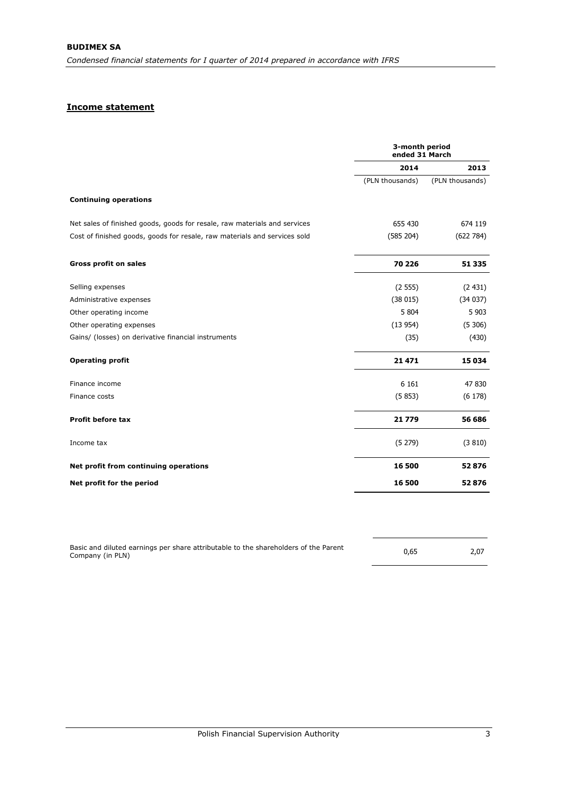# **Income statement**

|                                                                           | 3-month period<br>ended 31 March |                 |  |
|---------------------------------------------------------------------------|----------------------------------|-----------------|--|
|                                                                           | 2014                             | 2013            |  |
|                                                                           | (PLN thousands)                  | (PLN thousands) |  |
| <b>Continuing operations</b>                                              |                                  |                 |  |
| Net sales of finished goods, goods for resale, raw materials and services | 655 430                          | 674 119         |  |
| Cost of finished goods, goods for resale, raw materials and services sold | (585 204)                        | (622 784)       |  |
| <b>Gross profit on sales</b>                                              | 70 226                           | 51 335          |  |
| Selling expenses                                                          | (2555)                           | (2431)          |  |
| Administrative expenses                                                   | (38015)                          | (34037)         |  |
| Other operating income                                                    | 5 8 0 4                          | 5 9 0 3         |  |
| Other operating expenses                                                  | (13954)                          | (5306)          |  |
| Gains/ (losses) on derivative financial instruments                       | (35)                             | (430)           |  |
| <b>Operating profit</b>                                                   | 21 471                           | 15 0 34         |  |
| Finance income                                                            | 6 1 6 1                          | 47 830          |  |
| Finance costs                                                             | (5853)                           | (6178)          |  |
| <b>Profit before tax</b>                                                  | 21 779                           | 56 686          |  |
| Income tax                                                                | (5279)                           | (3810)          |  |
| Net profit from continuing operations                                     | 16 500                           | 52876           |  |
| Net profit for the period                                                 | 16 500                           | 52876           |  |

| Basic and diluted earnings per share attributable to the shareholders of the Parent |      |      |
|-------------------------------------------------------------------------------------|------|------|
| Company (in PLN)                                                                    | 0,65 | 2,07 |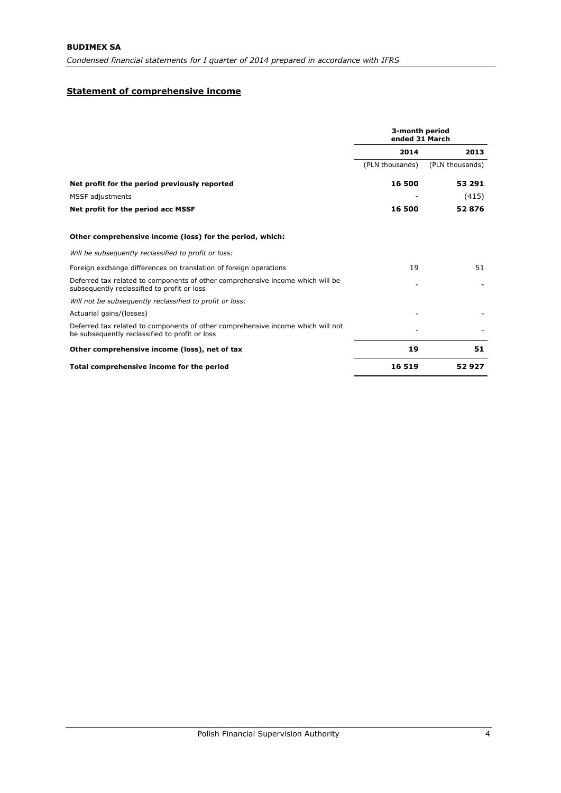## **Statement of comprehensive income**

|                                                                                                                                   | 3-month period<br>ended 31 March |                 |
|-----------------------------------------------------------------------------------------------------------------------------------|----------------------------------|-----------------|
|                                                                                                                                   | 2014                             | 2013            |
|                                                                                                                                   | (PLN thousands)                  | (PLN thousands) |
| Net profit for the period previously reported                                                                                     | 16 500                           | 53 291          |
| MSSF adjustments                                                                                                                  |                                  | (415)           |
| Net profit for the period acc MSSF                                                                                                | 16 500                           | 52876           |
| Other comprehensive income (loss) for the period, which:                                                                          |                                  |                 |
| Will be subsequently reclassified to profit or loss:                                                                              |                                  |                 |
| Foreign exchange differences on translation of foreign operations                                                                 | 19                               | 51              |
| Deferred tax related to components of other comprehensive income which will be<br>subsequently reclassified to profit or loss     |                                  |                 |
| Will not be subsequently reclassified to profit or loss:                                                                          |                                  |                 |
| Actuarial gains/(losses)                                                                                                          |                                  |                 |
| Deferred tax related to components of other comprehensive income which will not<br>be subsequently reclassified to profit or loss |                                  |                 |
| Other comprehensive income (loss), net of tax                                                                                     | 19                               | 51              |
| Total comprehensive income for the period                                                                                         | 16 519                           | 52927           |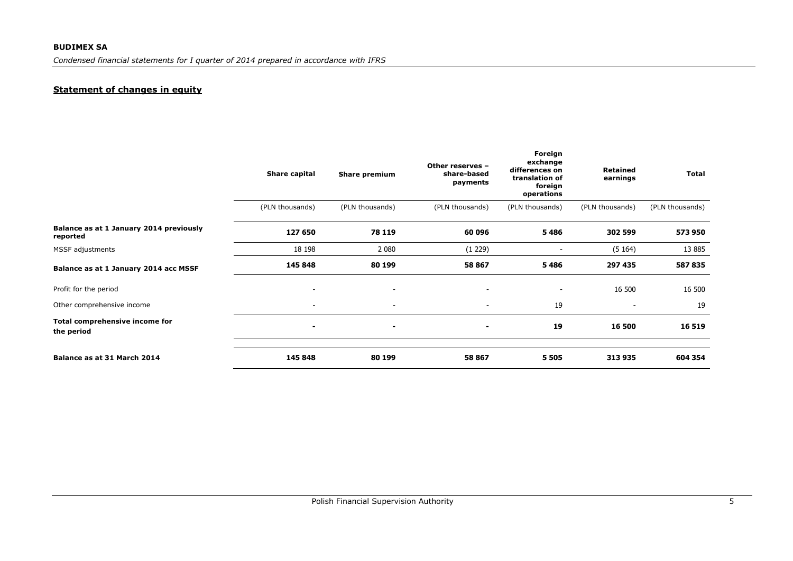# **Statement of changes in equity**

|                                                     | Share capital            | <b>Share premium</b>     | Other reserves -<br>share-based<br>payments | Foreign<br>exchange<br>differences on<br>translation of<br>foreign<br>operations | Retained<br>earnings     | <b>Total</b>    |
|-----------------------------------------------------|--------------------------|--------------------------|---------------------------------------------|----------------------------------------------------------------------------------|--------------------------|-----------------|
|                                                     | (PLN thousands)          | (PLN thousands)          | (PLN thousands)                             | (PLN thousands)                                                                  | (PLN thousands)          | (PLN thousands) |
| Balance as at 1 January 2014 previously<br>reported | 127 650                  | 78 119                   | 60 096                                      | 5486                                                                             | 302 599                  | 573 950         |
| MSSF adjustments                                    | 18 198                   | 2 0 8 0                  | (1 229)                                     |                                                                                  | (5164)                   | 13 8 85         |
| Balance as at 1 January 2014 acc MSSF               | 145 848                  | 80 199                   | 58 867                                      | 5486                                                                             | 297 435                  | 587 835         |
| Profit for the period                               | $\overline{\phantom{a}}$ | $\overline{\phantom{a}}$ | $\overline{\phantom{a}}$                    | $\overline{\phantom{a}}$                                                         | 16 500                   | 16 500          |
| Other comprehensive income                          | $\overline{\phantom{a}}$ | $\overline{\phantom{a}}$ | $\overline{\phantom{a}}$                    | 19                                                                               | $\overline{\phantom{a}}$ | 19              |
| Total comprehensive income for<br>the period        | $\sim$                   | $\overline{\phantom{a}}$ | $\sim$                                      | 19                                                                               | 16 500                   | 16 519          |
| Balance as at 31 March 2014                         | 145 848                  | 80 199                   | 58 867                                      | 5 5 0 5                                                                          | 313 935                  | 604 354         |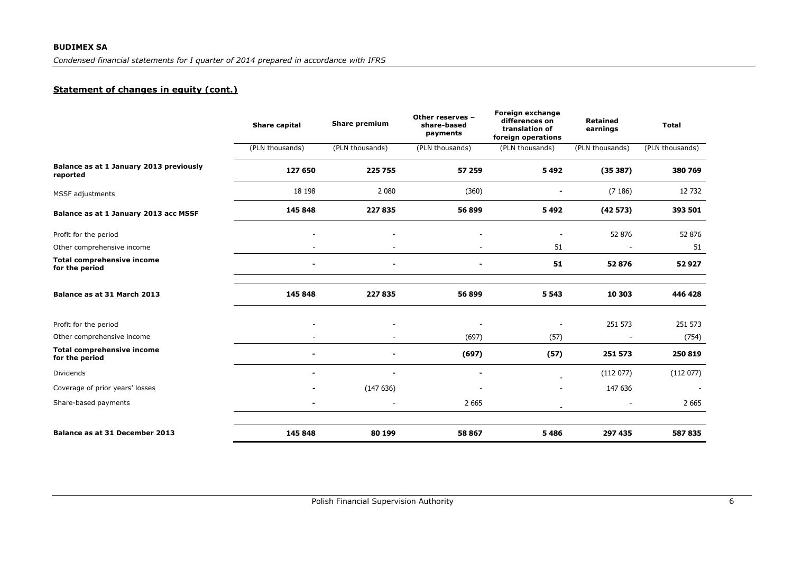## **BUDIMEX SA**

*Condensed financial statements for I quarter of 2014 prepared in accordance with IFRS*

# **Statement of changes in equity (cont.)**

|                                                     | <b>Share capital</b> | <b>Share premium</b> | Other reserves -<br>share-based<br>payments | Foreign exchange<br>differences on<br>translation of<br>foreign operations | <b>Retained</b><br>earnings | <b>Total</b>    |
|-----------------------------------------------------|----------------------|----------------------|---------------------------------------------|----------------------------------------------------------------------------|-----------------------------|-----------------|
|                                                     | (PLN thousands)      | (PLN thousands)      | (PLN thousands)                             | (PLN thousands)                                                            | (PLN thousands)             | (PLN thousands) |
| Balance as at 1 January 2013 previously<br>reported | 127 650              | 225 755              | 57 259                                      | 5492                                                                       | (35387)                     | 380 769         |
| MSSF adjustments                                    | 18 198               | 2 0 8 0              | (360)                                       |                                                                            | (7186)                      | 12 732          |
| Balance as at 1 January 2013 acc MSSF               | 145 848              | 227 835              | 56 899                                      | 5492                                                                       | (42573)                     | 393 501         |
| Profit for the period                               |                      |                      |                                             |                                                                            | 52 876                      | 52 876          |
| Other comprehensive income                          |                      |                      |                                             | 51                                                                         |                             | 51              |
| <b>Total comprehensive income</b><br>for the period |                      | ٠                    | ٠                                           | 51                                                                         | 52876                       | 52927           |
| Balance as at 31 March 2013                         | 145 848              | 227835               | 56 899                                      | 5 5 4 3                                                                    | 10 303                      | 446 428         |
| Profit for the period                               |                      |                      |                                             |                                                                            | 251 573                     | 251 573         |
| Other comprehensive income                          |                      |                      | (697)                                       | (57)                                                                       |                             | (754)           |
| <b>Total comprehensive income</b><br>for the period |                      | ٠                    | (697)                                       | (57)                                                                       | 251 573                     | 250 819         |
| Dividends                                           |                      | ۰                    |                                             |                                                                            | (112077)                    | (112077)        |
| Coverage of prior years' losses                     |                      | (147636)             | $\overline{\phantom{a}}$                    |                                                                            | 147 636                     |                 |
| Share-based payments                                |                      |                      | 2 6 6 5                                     |                                                                            |                             | 2 6 6 5         |
| Balance as at 31 December 2013                      | 145 848              | 80 199               | 58 867                                      | 5486                                                                       | 297 435                     | 587 835         |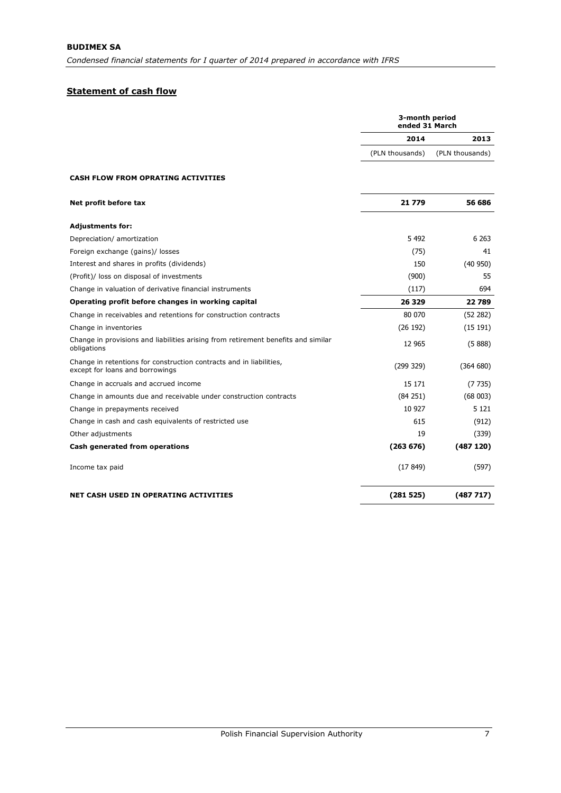# **Statement of cash flow**

|                                                                                                        | 3-month period<br>ended 31 March |                 |  |
|--------------------------------------------------------------------------------------------------------|----------------------------------|-----------------|--|
|                                                                                                        | 2014                             | 2013            |  |
|                                                                                                        | (PLN thousands)                  | (PLN thousands) |  |
| <b>CASH FLOW FROM OPRATING ACTIVITIES</b>                                                              |                                  |                 |  |
| Net profit before tax                                                                                  | 21779                            | 56 686          |  |
| <b>Adjustments for:</b>                                                                                |                                  |                 |  |
| Depreciation/ amortization                                                                             | 5 4 9 2                          | 6 2 63          |  |
| Foreign exchange (gains)/ losses                                                                       | (75)                             | 41              |  |
| Interest and shares in profits (dividends)                                                             | 150                              | (40950)         |  |
| (Profit)/ loss on disposal of investments                                                              | (900)                            | 55              |  |
| Change in valuation of derivative financial instruments                                                | (117)                            | 694             |  |
| Operating profit before changes in working capital                                                     | 26 3 29                          | 22789           |  |
| Change in receivables and retentions for construction contracts                                        | 80 070                           | (52 282)        |  |
| Change in inventories                                                                                  | (26 192)                         | (15191)         |  |
| Change in provisions and liabilities arising from retirement benefits and similar<br>obligations       | 12 965                           | (5888)          |  |
| Change in retentions for construction contracts and in liabilities,<br>except for loans and borrowings | (299 329)                        | (364680)        |  |
| Change in accruals and accrued income                                                                  | 15 171                           | (7735)          |  |
| Change in amounts due and receivable under construction contracts                                      | (84251)                          | (68003)         |  |
| Change in prepayments received                                                                         | 10 927                           | 5 1 2 1         |  |
| Change in cash and cash equivalents of restricted use                                                  | 615                              | (912)           |  |
| Other adjustments                                                                                      | 19                               | (339)           |  |
| Cash generated from operations                                                                         | (263 676)                        | (487120)        |  |
| Income tax paid                                                                                        | (17849)                          | (597)           |  |
| <b>NET CASH USED IN OPERATING ACTIVITIES</b>                                                           | (281525)                         | (487717)        |  |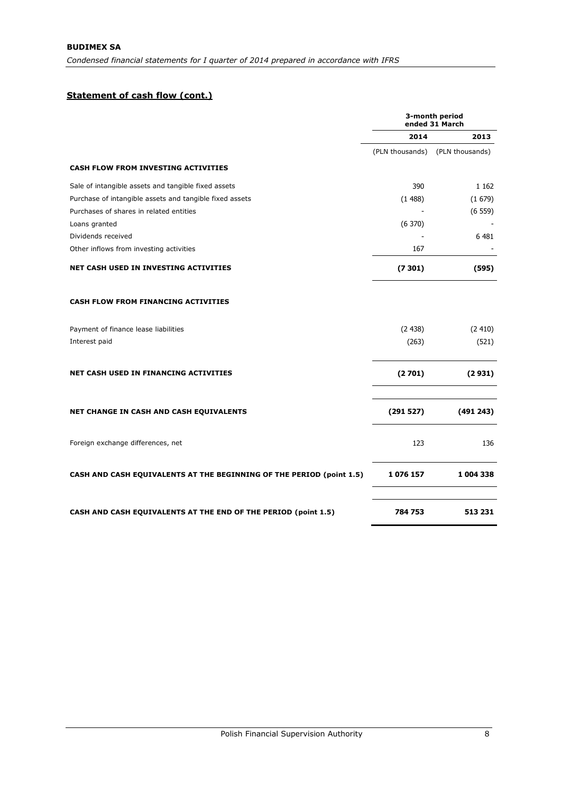# **Statement of cash flow (cont.)**

|                                                                             | 3-month period<br>ended 31 March |                 |  |
|-----------------------------------------------------------------------------|----------------------------------|-----------------|--|
|                                                                             | 2014                             | 2013            |  |
|                                                                             | (PLN thousands)                  | (PLN thousands) |  |
| <b>CASH FLOW FROM INVESTING ACTIVITIES</b>                                  |                                  |                 |  |
| Sale of intangible assets and tangible fixed assets                         | 390                              | 1 1 6 2         |  |
| Purchase of intangible assets and tangible fixed assets                     | (1488)                           | (1679)          |  |
| Purchases of shares in related entities                                     |                                  | (6559)          |  |
| Loans granted                                                               | (6370)                           |                 |  |
| Dividends received                                                          |                                  | 6 4 8 1         |  |
| Other inflows from investing activities                                     | 167                              |                 |  |
| <b>NET CASH USED IN INVESTING ACTIVITIES</b>                                | (7301)                           | (595)           |  |
| <b>CASH FLOW FROM FINANCING ACTIVITIES</b>                                  |                                  |                 |  |
| Payment of finance lease liabilities                                        | (2438)                           | (2410)          |  |
| Interest paid                                                               | (263)                            | (521)           |  |
| <b>NET CASH USED IN FINANCING ACTIVITIES</b>                                | (2701)                           | (2931)          |  |
| <b>NET CHANGE IN CASH AND CASH EQUIVALENTS</b>                              | (291527)                         | (491 243)       |  |
| Foreign exchange differences, net                                           | 123                              | 136             |  |
| <b>CASH AND CASH EQUIVALENTS AT THE BEGINNING OF THE PERIOD (point 1.5)</b> | 1076157                          | 1 004 338       |  |
| CASH AND CASH EQUIVALENTS AT THE END OF THE PERIOD (point 1.5)              | 784753                           | 513 231         |  |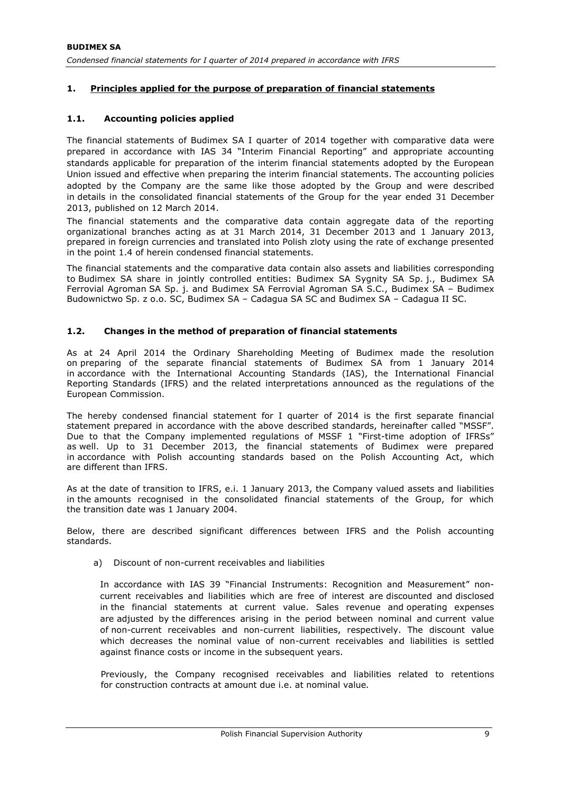## **1. Principles applied for the purpose of preparation of financial statements**

## **1.1. Accounting policies applied**

The financial statements of Budimex SA I quarter of 2014 together with comparative data were prepared in accordance with IAS 34 "Interim Financial Reporting" and appropriate accounting standards applicable for preparation of the interim financial statements adopted by the European Union issued and effective when preparing the interim financial statements. The accounting policies adopted by the Company are the same like those adopted by the Group and were described in details in the consolidated financial statements of the Group for the year ended 31 December 2013, published on 12 March 2014.

The financial statements and the comparative data contain aggregate data of the reporting organizational branches acting as at 31 March 2014, 31 December 2013 and 1 January 2013, prepared in foreign currencies and translated into Polish zloty using the rate of exchange presented in the point 1.4 of herein condensed financial statements.

The financial statements and the comparative data contain also assets and liabilities corresponding to Budimex SA share in jointly controlled entities: Budimex SA Sygnity SA Sp. j., Budimex SA Ferrovial Agroman SA Sp. j. and Budimex SA Ferrovial Agroman SA S.C., Budimex SA – Budimex Budownictwo Sp. z o.o. SC, Budimex SA – Cadagua SA SC and Budimex SA – Cadagua II SC.

### **1.2. Changes in the method of preparation of financial statements**

As at 24 April 2014 the Ordinary Shareholding Meeting of Budimex made the resolution on preparing of the separate financial statements of Budimex SA from 1 January 2014 in accordance with the International Accounting Standards (IAS), the International Financial Reporting Standards (IFRS) and the related interpretations announced as the regulations of the European Commission.

The hereby condensed financial statement for I quarter of 2014 is the first separate financial statement prepared in accordance with the above described standards, hereinafter called "MSSF". Due to that the Company implemented regulations of MSSF 1 "First-time adoption of IFRSs" as well. Up to 31 December 2013, the financial statements of Budimex were prepared in accordance with Polish accounting standards based on the Polish Accounting Act, which are different than IFRS.

As at the date of transition to IFRS, e.i. 1 January 2013, the Company valued assets and liabilities in the amounts recognised in the consolidated financial statements of the Group, for which the transition date was 1 January 2004.

Below, there are described significant differences between IFRS and the Polish accounting standards.

a) Discount of non-current receivables and liabilities

In accordance with IAS 39 "Financial Instruments: Recognition and Measurement" noncurrent receivables and liabilities which are free of interest are discounted and disclosed in the financial statements at current value. Sales revenue and operating expenses are adjusted by the differences arising in the period between nominal and current value of non-current receivables and non-current liabilities, respectively. The discount value which decreases the nominal value of non-current receivables and liabilities is settled against finance costs or income in the subsequent years.

Previously, the Company recognised receivables and liabilities related to retentions for construction contracts at amount due i.e. at nominal value.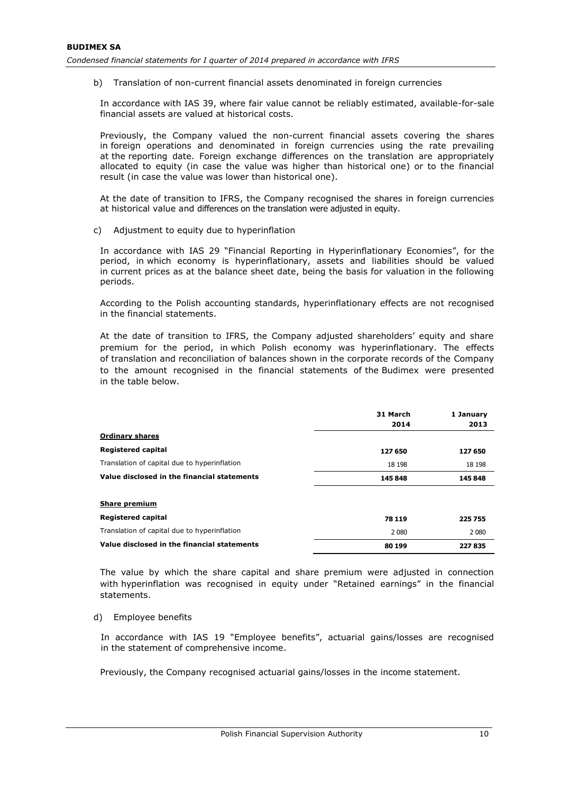b) Translation of non-current financial assets denominated in foreign currencies

In accordance with IAS 39, where fair value cannot be reliably estimated, available-for-sale financial assets are valued at historical costs.

Previously, the Company valued the non-current financial assets covering the shares in foreign operations and denominated in foreign currencies using the rate prevailing at the reporting date. Foreign exchange differences on the translation are appropriately allocated to equity (in case the value was higher than historical one) or to the financial result (in case the value was lower than historical one).

At the date of transition to IFRS, the Company recognised the shares in foreign currencies at historical value and differences on the translation were adjusted in equity.

c) Adjustment to equity due to hyperinflation

In accordance with IAS 29 "Financial Reporting in Hyperinflationary Economies", for the period, in which economy is hyperinflationary, assets and liabilities should be valued in current prices as at the balance sheet date, being the basis for valuation in the following periods.

According to the Polish accounting standards, hyperinflationary effects are not recognised in the financial statements.

At the date of transition to IFRS, the Company adjusted shareholders' equity and share premium for the period, in which Polish economy was hyperinflationary. The effects of translation and reconciliation of balances shown in the corporate records of the Company to the amount recognised in the financial statements of the Budimex were presented in the table below.

|                                              | 31 March<br>2014 | 1 January<br>2013 |
|----------------------------------------------|------------------|-------------------|
| <b>Ordinary shares</b>                       |                  |                   |
| <b>Registered capital</b>                    | 127 650          | 127 650           |
| Translation of capital due to hyperinflation | 18 198           | 18 198            |
| Value disclosed in the financial statements  | 145 848          | 145 848           |
| <b>Share premium</b>                         |                  |                   |
| <b>Registered capital</b>                    | 78 119           | 225 755           |
| Translation of capital due to hyperinflation | 2 0 8 0          | 2 0 8 0           |
| Value disclosed in the financial statements  | 80 199           | 227835            |

The value by which the share capital and share premium were adjusted in connection with hyperinflation was recognised in equity under "Retained earnings" in the financial statements.

d) Employee benefits

In accordance with IAS 19 "Employee benefits", actuarial gains/losses are recognised in the statement of comprehensive income.

Previously, the Company recognised actuarial gains/losses in the income statement.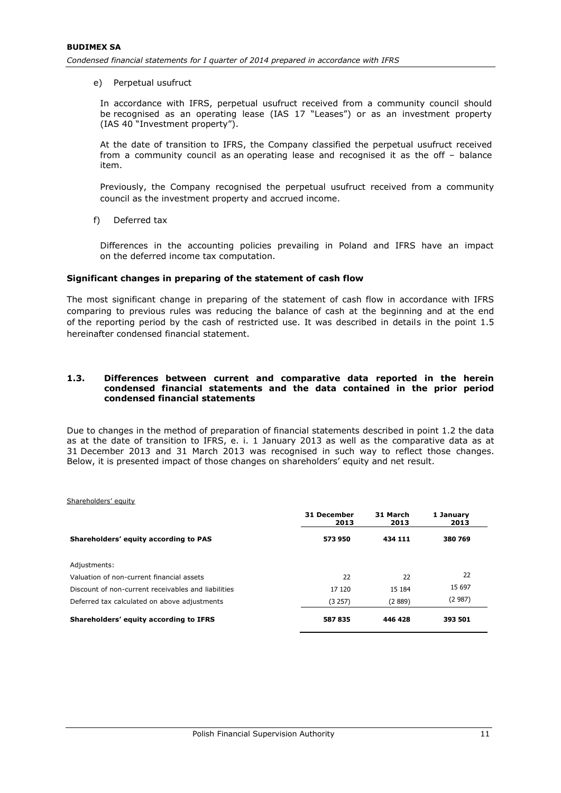e) Perpetual usufruct

In accordance with IFRS, perpetual usufruct received from a community council should be recognised as an operating lease (IAS 17 "Leases") or as an investment property (IAS 40 "Investment property").

At the date of transition to IFRS, the Company classified the perpetual usufruct received from a community council as an operating lease and recognised it as the off – balance item.

Previously, the Company recognised the perpetual usufruct received from a community council as the investment property and accrued income.

f) Deferred tax

Differences in the accounting policies prevailing in Poland and IFRS have an impact on the deferred income tax computation.

#### **Significant changes in preparing of the statement of cash flow**

The most significant change in preparing of the statement of cash flow in accordance with IFRS comparing to previous rules was reducing the balance of cash at the beginning and at the end of the reporting period by the cash of restricted use. It was described in details in the point 1.5 hereinafter condensed financial statement.

#### **1.3. Differences between current and comparative data reported in the herein condensed financial statements and the data contained in the prior period condensed financial statements**

Due to changes in the method of preparation of financial statements described in point 1.2 the data as at the date of transition to IFRS, e. i. 1 January 2013 as well as the comparative data as at 31 December 2013 and 31 March 2013 was recognised in such way to reflect those changes. Below, it is presented impact of those changes on shareholders' equity and net result.

Shareholders' equity

|                                                     | 31 December<br>2013 | 31 March<br>2013 | 1 January<br>2013 |
|-----------------------------------------------------|---------------------|------------------|-------------------|
| Shareholders' equity according to PAS               | 573950              | 434 111          | 380 769           |
| Adjustments:                                        |                     |                  |                   |
| Valuation of non-current financial assets           | 22                  | 22               | 22                |
| Discount of non-current receivables and liabilities | 17 120              | 15 184           | 15 697            |
| Deferred tax calculated on above adjustments        | (3 257)             | (2889)           | (2987)            |
| Shareholders' equity according to IFRS              | 587835              | 446 428          | 393 501           |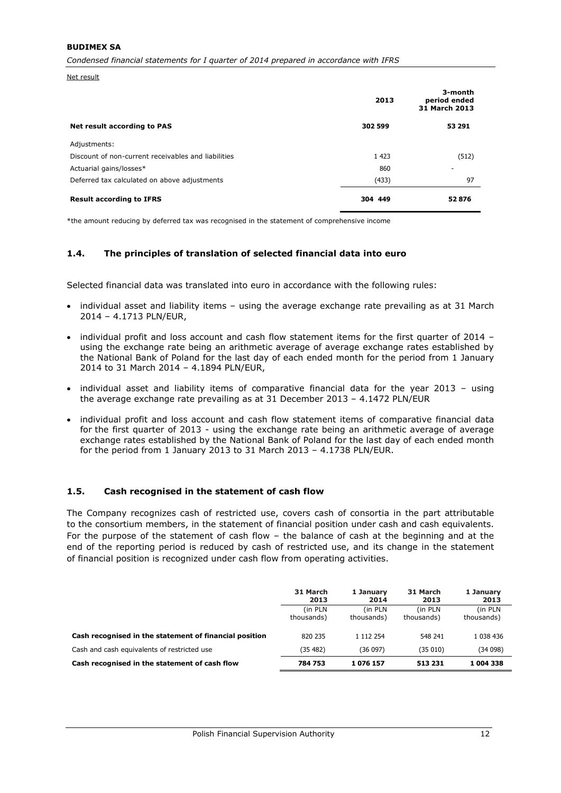#### **BUDIMEX SA**

*Condensed financial statements for I quarter of 2014 prepared in accordance with IFRS*

Net result

|                                                     | 2013    | 3-month<br>period ended<br>31 March 2013 |
|-----------------------------------------------------|---------|------------------------------------------|
| Net result according to PAS                         | 302 599 | 53 291                                   |
| Adjustments:                                        |         |                                          |
| Discount of non-current receivables and liabilities | 1 4 2 3 | (512)                                    |
| Actuarial gains/losses*                             | 860     | $\overline{\phantom{a}}$                 |
| Deferred tax calculated on above adjustments        | (433)   | 97                                       |
| <b>Result according to IFRS</b>                     | 304 449 | 52876                                    |

\*the amount reducing by deferred tax was recognised in the statement of comprehensive income

#### **1.4. The principles of translation of selected financial data into euro**

Selected financial data was translated into euro in accordance with the following rules:

- individual asset and liability items using the average exchange rate prevailing as at 31 March 2014 – 4.1713 PLN/EUR,
- individual profit and loss account and cash flow statement items for the first quarter of 2014 using the exchange rate being an arithmetic average of average exchange rates established by the National Bank of Poland for the last day of each ended month for the period from 1 January 2014 to 31 March 2014 – 4.1894 PLN/EUR,
- individual asset and liability items of comparative financial data for the year 2013 using the average exchange rate prevailing as at 31 December 2013 – 4.1472 PLN/EUR
- individual profit and loss account and cash flow statement items of comparative financial data for the first quarter of 2013 - using the exchange rate being an arithmetic average of average exchange rates established by the National Bank of Poland for the last day of each ended month for the period from 1 January 2013 to 31 March 2013 – 4.1738 PLN/EUR.

#### **1.5. Cash recognised in the statement of cash flow**

The Company recognizes cash of restricted use, covers cash of consortia in the part attributable to the consortium members, in the statement of financial position under cash and cash equivalents. For the purpose of the statement of cash flow – the balance of cash at the beginning and at the end of the reporting period is reduced by cash of restricted use, and its change in the statement of financial position is recognized under cash flow from operating activities.

|                                                        | 31 March<br>2013 | 1 January<br>2014 | 31 March<br>2013 | 1 January<br>2013 |
|--------------------------------------------------------|------------------|-------------------|------------------|-------------------|
|                                                        | (in PLN)         | (in PLN           | (in PLN          | (in PLN           |
|                                                        | thousands)       | thousands)        | thousands)       | thousands)        |
| Cash recognised in the statement of financial position | 820 235          | 1 112 254         | 548 241          | 1 038 436         |
| Cash and cash equivalents of restricted use            | (35 482)         | (36097)           | (35010)          | (34098)           |
| Cash recognised in the statement of cash flow          | 784 753          | 1076157           | 513 231          | 1 004 338         |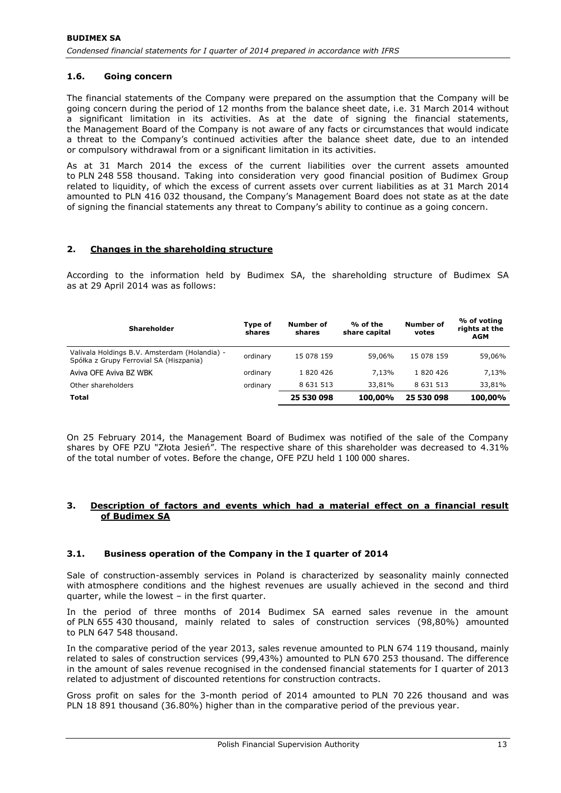## **1.6. Going concern**

The financial statements of the Company were prepared on the assumption that the Company will be going concern during the period of 12 months from the balance sheet date, i.e. 31 March 2014 without a significant limitation in its activities. As at the date of signing the financial statements, the Management Board of the Company is not aware of any facts or circumstances that would indicate a threat to the Company's continued activities after the balance sheet date, due to an intended or compulsory withdrawal from or a significant limitation in its activities.

As at 31 March 2014 the excess of the current liabilities over the current assets amounted to PLN 248 558 thousand. Taking into consideration very good financial position of Budimex Group related to liquidity, of which the excess of current assets over current liabilities as at 31 March 2014 amounted to PLN 416 032 thousand, the Company's Management Board does not state as at the date of signing the financial statements any threat to Company's ability to continue as a going concern.

#### **2. Changes in the shareholding structure**

According to the information held by Budimex SA, the shareholding structure of Budimex SA as at 29 April 2014 was as follows:

| <b>Shareholder</b>                                                                       | Type of<br>shares | Number of<br>shares | % of the<br>share capital | <b>Number of</b><br>votes | % of voting<br>rights at the<br><b>AGM</b> |
|------------------------------------------------------------------------------------------|-------------------|---------------------|---------------------------|---------------------------|--------------------------------------------|
| Valivala Holdings B.V. Amsterdam (Holandia) -<br>Spółka z Grupy Ferrovial SA (Hiszpania) | ordinary          | 15 078 159          | 59,06%                    | 15 078 159                | 59,06%                                     |
| Aviva OFE Aviva BZ WBK                                                                   | ordinary          | 1 820 426           | 7.13%                     | 1820426                   | 7.13%                                      |
| Other shareholders                                                                       | ordinary          | 8 631 513           | 33,81%                    | 8 6 3 1 5 1 3             | 33,81%                                     |
| Total                                                                                    |                   | 25 530 098          | 100,00%                   | 25 530 098                | 100,00%                                    |

On 25 February 2014, the Management Board of Budimex was notified of the sale of the Company shares by OFE PZU "Złota Jesień". The respective share of this shareholder was decreased to 4.31% of the total number of votes. Before the change, OFE PZU held 1 100 000 shares.

#### **3. Description of factors and events which had a material effect on a financial result of Budimex SA**

## **3.1. Business operation of the Company in the I quarter of 2014**

Sale of construction-assembly services in Poland is characterized by seasonality mainly connected with atmosphere conditions and the highest revenues are usually achieved in the second and third quarter, while the lowest  $-$  in the first quarter.

In the period of three months of 2014 Budimex SA earned sales revenue in the amount of PLN 655 430 thousand, mainly related to sales of construction services (98,80%) amounted to PLN 647 548 thousand.

In the comparative period of the year 2013, sales revenue amounted to PLN 674 119 thousand, mainly related to sales of construction services (99,43%) amounted to PLN 670 253 thousand. The difference in the amount of sales revenue recognised in the condensed financial statements for I quarter of 2013 related to adjustment of discounted retentions for construction contracts.

Gross profit on sales for the 3-month period of 2014 amounted to PLN 70 226 thousand and was PLN 18 891 thousand (36.80%) higher than in the comparative period of the previous year.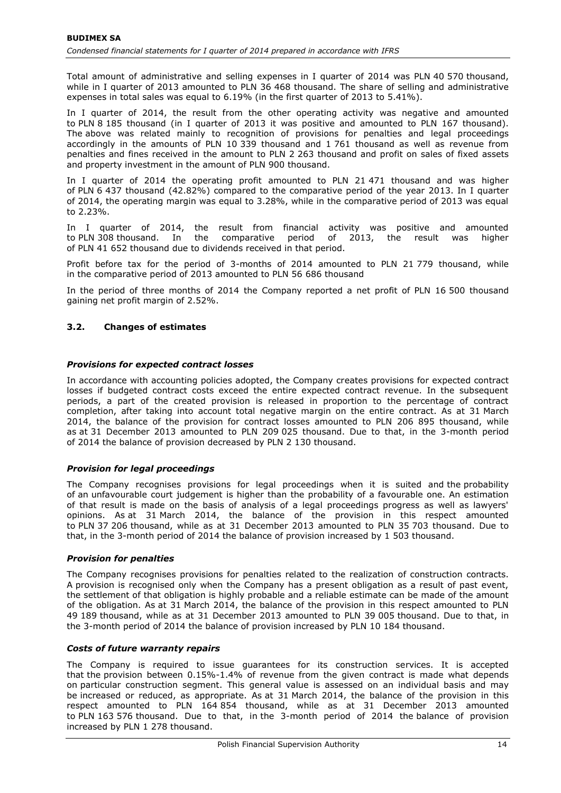Total amount of administrative and selling expenses in I quarter of 2014 was PLN 40 570 thousand, while in I quarter of 2013 amounted to PLN 36 468 thousand. The share of selling and administrative expenses in total sales was equal to 6.19% (in the first quarter of 2013 to 5.41%).

In I quarter of 2014, the result from the other operating activity was negative and amounted to PLN 8 185 thousand (in I quarter of 2013 it was positive and amounted to PLN 167 thousand). The above was related mainly to recognition of provisions for penalties and legal proceedings accordingly in the amounts of PLN 10 339 thousand and 1 761 thousand as well as revenue from penalties and fines received in the amount to PLN 2 263 thousand and profit on sales of fixed assets and property investment in the amount of PLN 900 thousand.

In I quarter of 2014 the operating profit amounted to PLN 21 471 thousand and was higher of PLN 6 437 thousand (42.82%) compared to the comparative period of the year 2013. In I quarter of 2014, the operating margin was equal to 3.28%, while in the comparative period of 2013 was equal to 2.23%.

In I quarter of 2014, the result from financial activity was positive and amounted to PLN 308 thousand. In the comparative period of 2013, the result was higher of PLN 41 652 thousand due to dividends received in that period.

Profit before tax for the period of 3-months of 2014 amounted to PLN 21 779 thousand, while in the comparative period of 2013 amounted to PLN 56 686 thousand

In the period of three months of 2014 the Company reported a net profit of PLN 16 500 thousand gaining net profit margin of 2.52%.

# **3.2. Changes of estimates**

## *Provisions for expected contract losses*

In accordance with accounting policies adopted, the Company creates provisions for expected contract losses if budgeted contract costs exceed the entire expected contract revenue. In the subsequent periods, a part of the created provision is released in proportion to the percentage of contract completion, after taking into account total negative margin on the entire contract. As at 31 March 2014, the balance of the provision for contract losses amounted to PLN 206 895 thousand, while as at 31 December 2013 amounted to PLN 209 025 thousand. Due to that, in the 3-month period of 2014 the balance of provision decreased by PLN 2 130 thousand.

## *Provision for legal proceedings*

The Company recognises provisions for legal proceedings when it is suited and the probability of an unfavourable court judgement is higher than the probability of a favourable one. An estimation of that result is made on the basis of analysis of a legal proceedings progress as well as lawyers' opinions. As at 31 March 2014, the balance of the provision in this respect amounted to PLN 37 206 thousand, while as at 31 December 2013 amounted to PLN 35 703 thousand. Due to that, in the 3-month period of 2014 the balance of provision increased by 1 503 thousand.

#### *Provision for penalties*

The Company recognises provisions for penalties related to the realization of construction contracts. A provision is recognised only when the Company has a present obligation as a result of past event, the settlement of that obligation is highly probable and a reliable estimate can be made of the amount of the obligation. As at 31 March 2014, the balance of the provision in this respect amounted to PLN 49 189 thousand, while as at 31 December 2013 amounted to PLN 39 005 thousand. Due to that, in the 3-month period of 2014 the balance of provision increased by PLN 10 184 thousand.

#### *Costs of future warranty repairs*

The Company is required to issue guarantees for its construction services. It is accepted that the provision between 0.15%-1.4% of revenue from the given contract is made what depends on particular construction segment. This general value is assessed on an individual basis and may be increased or reduced, as appropriate. As at 31 March 2014, the balance of the provision in this respect amounted to PLN 164 854 thousand, while as at 31 December 2013 amounted to PLN 163 576 thousand. Due to that, in the 3-month period of 2014 the balance of provision increased by PLN 1 278 thousand.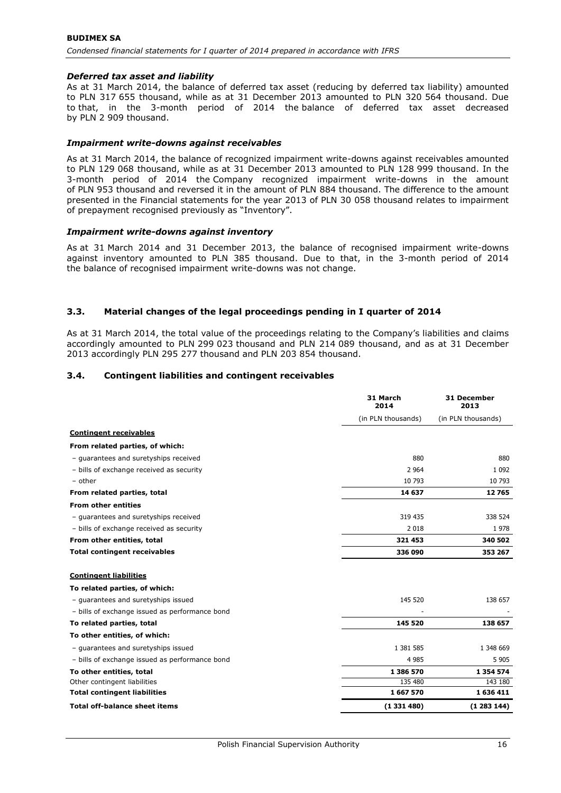#### **BUDIMEX SA** *Condensed financial statements for I quarter of 2014 prepared in accordance with IFRS*

## *Deferred tax asset and liability*

As at 31 March 2014, the balance of deferred tax asset (reducing by deferred tax liability) amounted to PLN 317 655 thousand, while as at 31 December 2013 amounted to PLN 320 564 thousand. Due to that, in the 3-month period of 2014 the balance of deferred tax asset decreased by PLN 2 909 thousand.

### *Impairment write-downs against receivables*

As at 31 March 2014, the balance of recognized impairment write-downs against receivables amounted to PLN 129 068 thousand, while as at 31 December 2013 amounted to PLN 128 999 thousand. In the 3-month period of 2014 the Company recognized impairment write-downs in the amount of PLN 953 thousand and reversed it in the amount of PLN 884 thousand. The difference to the amount presented in the Financial statements for the year 2013 of PLN 30 058 thousand relates to impairment of prepayment recognised previously as "Inventory".

#### *Impairment write-downs against inventory*

As at 31 March 2014 and 31 December 2013, the balance of recognised impairment write-downs against inventory amounted to PLN 385 thousand. Due to that, in the 3-month period of 2014 the balance of recognised impairment write-downs was not change.

### **3.3. Material changes of the legal proceedings pending in I quarter of 2014**

As at 31 March 2014, the total value of the proceedings relating to the Company's liabilities and claims accordingly amounted to PLN 299 023 thousand and PLN 214 089 thousand, and as at 31 December 2013 accordingly PLN 295 277 thousand and PLN 203 854 thousand.

### **3.4. Contingent liabilities and contingent receivables**

|                                                | 31 March<br>2014   | 31 December<br>2013 |  |
|------------------------------------------------|--------------------|---------------------|--|
|                                                | (in PLN thousands) | (in PLN thousands)  |  |
| <b>Contingent receivables</b>                  |                    |                     |  |
| From related parties, of which:                |                    |                     |  |
| - quarantees and suretyships received          | 880                | 880                 |  |
| - bills of exchange received as security       | 2 9 6 4            | 1 0 9 2             |  |
| - other                                        | 10 793             | 10 793              |  |
| From related parties, total                    | 14 637             | 12765               |  |
| <b>From other entities</b>                     |                    |                     |  |
| - guarantees and suretyships received          | 319 435            | 338 524             |  |
| - bills of exchange received as security       | 2 0 18             | 1978                |  |
| From other entities, total                     | 321 453            | 340 502             |  |
| <b>Total contingent receivables</b>            | 336 090            | 353 267             |  |
| <b>Contingent liabilities</b>                  |                    |                     |  |
| To related parties, of which:                  |                    |                     |  |
| - quarantees and suretyships issued            | 145 520            | 138 657             |  |
| - bills of exchange issued as performance bond |                    |                     |  |
| To related parties, total                      | 145 520            | 138 657             |  |
| To other entities, of which:                   |                    |                     |  |
| - guarantees and suretyships issued            | 1 381 585          | 1 348 669           |  |
| - bills of exchange issued as performance bond | 4 9 8 5            | 5 9 0 5             |  |
| To other entities, total                       | 1 386 570          | 1 3 5 4 5 7 4       |  |
| Other contingent liabilities                   | 135 480            | 143 180             |  |
| <b>Total contingent liabilities</b>            | 1667570            | 1636411             |  |
| <b>Total off-balance sheet items</b>           | (1331480)          | (1283144)           |  |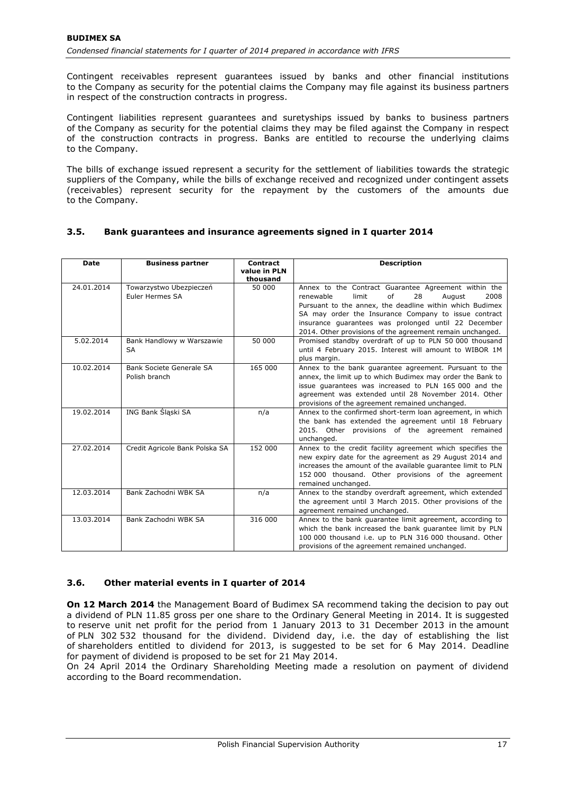Contingent receivables represent guarantees issued by banks and other financial institutions to the Company as security for the potential claims the Company may file against its business partners in respect of the construction contracts in progress.

Contingent liabilities represent guarantees and suretyships issued by banks to business partners of the Company as security for the potential claims they may be filed against the Company in respect of the construction contracts in progress. Banks are entitled to recourse the underlying claims to the Company.

The bills of exchange issued represent a security for the settlement of liabilities towards the strategic suppliers of the Company, while the bills of exchange received and recognized under contingent assets (receivables) represent security for the repayment by the customers of the amounts due to the Company.

## **3.5. Bank guarantees and insurance agreements signed in I quarter 2014**

| <b>Date</b> | <b>Business partner</b>                    | Contract<br>value in PLN<br>thousand | <b>Description</b>                                                                                                                                                                                                                                                                                                                                |
|-------------|--------------------------------------------|--------------------------------------|---------------------------------------------------------------------------------------------------------------------------------------------------------------------------------------------------------------------------------------------------------------------------------------------------------------------------------------------------|
| 24.01.2014  | Towarzystwo Ubezpieczeń<br>Euler Hermes SA | 50 000                               | Annex to the Contract Guarantee Agreement within the<br>of<br>limit<br>28<br>2008<br>renewable<br>August<br>Pursuant to the annex, the deadline within which Budimex<br>SA may order the Insurance Company to issue contract<br>insurance guarantees was prolonged until 22 December<br>2014. Other provisions of the agreement remain unchanged. |
| 5.02.2014   | Bank Handlowy w Warszawie<br>SA            | 50 000                               | Promised standby overdraft of up to PLN 50 000 thousand<br>until 4 February 2015. Interest will amount to WIBOR 1M<br>plus margin.                                                                                                                                                                                                                |
| 10.02.2014  | Bank Societe Generale SA<br>Polish branch  | 165 000                              | Annex to the bank guarantee agreement. Pursuant to the<br>annex, the limit up to which Budimex may order the Bank to<br>issue quarantees was increased to PLN 165 000 and the<br>agreement was extended until 28 November 2014. Other<br>provisions of the agreement remained unchanged.                                                          |
| 19.02.2014  | ING Bank Śląski SA                         | n/a                                  | Annex to the confirmed short-term loan agreement, in which<br>the bank has extended the agreement until 18 February<br>2015. Other provisions of the agreement remained<br>unchanged.                                                                                                                                                             |
| 27.02.2014  | Credit Agricole Bank Polska SA             | 152 000                              | Annex to the credit facility agreement which specifies the<br>new expiry date for the agreement as 29 August 2014 and<br>increases the amount of the available guarantee limit to PLN<br>152 000 thousand. Other provisions of the agreement<br>remained unchanged.                                                                               |
| 12.03.2014  | Bank Zachodni WBK SA                       | n/a                                  | Annex to the standby overdraft agreement, which extended<br>the agreement until 3 March 2015. Other provisions of the<br>agreement remained unchanged.                                                                                                                                                                                            |
| 13.03.2014  | Bank Zachodni WBK SA                       | 316 000                              | Annex to the bank quarantee limit agreement, according to<br>which the bank increased the bank quarantee limit by PLN<br>100 000 thousand i.e. up to PLN 316 000 thousand. Other<br>provisions of the agreement remained unchanged.                                                                                                               |

## **3.6. Other material events in I quarter of 2014**

**On 12 March 2014** the Management Board of Budimex SA recommend taking the decision to pay out a dividend of PLN 11.85 gross per one share to the Ordinary General Meeting in 2014. It is suggested to reserve unit net profit for the period from 1 January 2013 to 31 December 2013 in the amount of PLN 302 532 thousand for the dividend. Dividend day, i.e. the day of establishing the list of shareholders entitled to dividend for 2013, is suggested to be set for 6 May 2014. Deadline for payment of dividend is proposed to be set for 21 May 2014.

On 24 April 2014 the Ordinary Shareholding Meeting made a resolution on payment of dividend according to the Board recommendation.